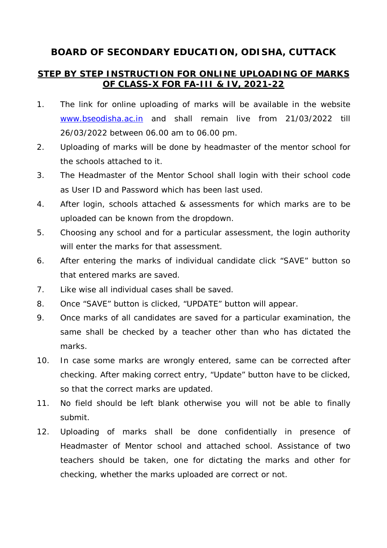## **BOARD OF SECONDARY EDUCATION, ODISHA, CUTTACK**

## **STEP BY STEP INSTRUCTION FOR ONLINE UPLOADING OF MARKS OF CLASS-X FOR FA-III & IV, 2021-22**

- 1. The link for online uploading of marks will be available in the website www.bseodisha.ac.in and shall remain live from 21/03/2022 till 26/03/2022 between 06.00 am to 06.00 pm.
- 2. Uploading of marks will be done by headmaster of the mentor school for the schools attached to it.
- 3. The Headmaster of the Mentor School shall login with their school code as User ID and Password which has been last used.
- 4. After login, schools attached & assessments for which marks are to be uploaded can be known from the dropdown.
- 5. Choosing any school and for a particular assessment, the login authority will enter the marks for that assessment
- 6. After entering the marks of individual candidate click "SAVE" button so that entered marks are saved.
- 7. Like wise all individual cases shall be saved.
- 8. Once "SAVE" button is clicked, "UPDATE" button will appear.
- 9. Once marks of all candidates are saved for a particular examination, the same shall be checked by a teacher other than who has dictated the marks.
- 10. In case some marks are wrongly entered, same can be corrected after checking. After making correct entry, "Update" button have to be clicked, so that the correct marks are updated.
- 11. No field should be left blank otherwise you will not be able to finally submit.
- 12. Uploading of marks shall be done confidentially in presence of Headmaster of Mentor school and attached school. Assistance of two teachers should be taken, one for dictating the marks and other for checking, whether the marks uploaded are correct or not.